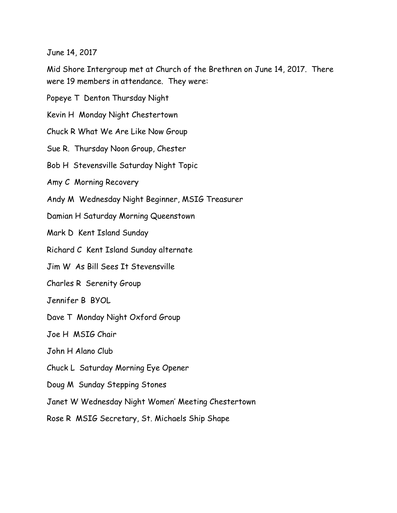June 14, 2017

Mid Shore Intergroup met at Church of the Brethren on June 14, 2017. There were 19 members in attendance. They were:

Popeye T Denton Thursday Night

Kevin H Monday Night Chestertown

Chuck R What We Are Like Now Group

Sue R. Thursday Noon Group, Chester

Bob H Stevensville Saturday Night Topic

Amy C Morning Recovery

Andy M Wednesday Night Beginner, MSIG Treasurer

Damian H Saturday Morning Queenstown

Mark D Kent Island Sunday

Richard C Kent Island Sunday alternate

Jim W As Bill Sees It Stevensville

Charles R Serenity Group

Jennifer B BYOL

Dave T Monday Night Oxford Group

Joe H MSIG Chair

John H Alano Club

Chuck L Saturday Morning Eye Opener

Doug M Sunday Stepping Stones

Janet W Wednesday Night Women' Meeting Chestertown

Rose R MSIG Secretary, St. Michaels Ship Shape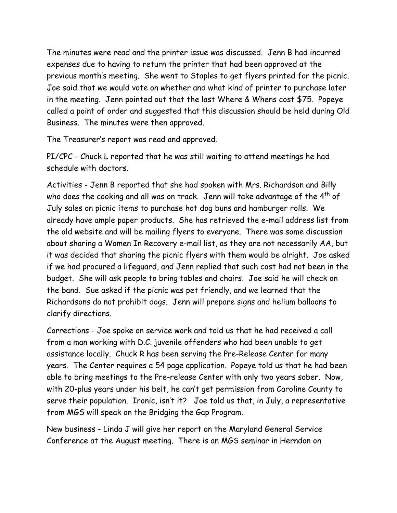The minutes were read and the printer issue was discussed. Jenn B had incurred expenses due to having to return the printer that had been approved at the previous month's meeting. She went to Staples to get flyers printed for the picnic. Joe said that we would vote on whether and what kind of printer to purchase later in the meeting. Jenn pointed out that the last Where & Whens cost \$75. Popeye called a point of order and suggested that this discussion should be held during Old Business. The minutes were then approved.

The Treasurer's report was read and approved.

PI/CPC - Chuck L reported that he was still waiting to attend meetings he had schedule with doctors.

Activities - Jenn B reported that she had spoken with Mrs. Richardson and Billy who does the cooking and all was on track. Jenn will take advantage of the  $4<sup>th</sup>$  of July sales on picnic items to purchase hot dog buns and hamburger rolls. We already have ample paper products. She has retrieved the e-mail address list from the old website and will be mailing flyers to everyone. There was some discussion about sharing a Women In Recovery e-mail list, as they are not necessarily AA, but it was decided that sharing the picnic flyers with them would be alright. Joe asked if we had procured a lifeguard, and Jenn replied that such cost had not been in the budget. She will ask people to bring tables and chairs. Joe said he will check on the band. Sue asked if the picnic was pet friendly, and we learned that the Richardsons do not prohibit dogs. Jenn will prepare signs and helium balloons to clarify directions.

Corrections - Joe spoke on service work and told us that he had received a call from a man working with D.C. juvenile offenders who had been unable to get assistance locally. Chuck R has been serving the Pre-Release Center for many years. The Center requires a 54 page application. Popeye told us that he had been able to bring meetings to the Pre-release Center with only two years sober. Now, with 20-plus years under his belt, he can't get permission from Caroline County to serve their population. Ironic, isn't it? Joe told us that, in July, a representative from MGS will speak on the Bridging the Gap Program.

New business - Linda J will give her report on the Maryland General Service Conference at the August meeting. There is an MGS seminar in Herndon on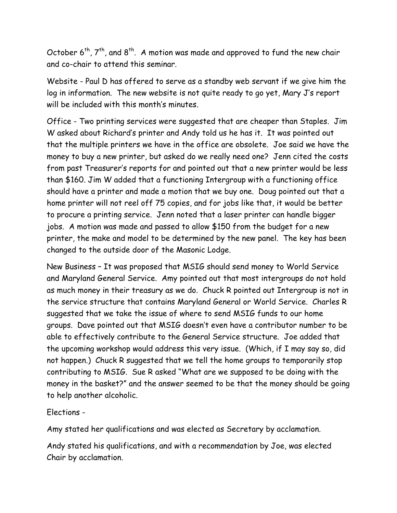October  $6^{th}$ ,  $7^{th}$ , and  $8^{th}$ . A motion was made and approved to fund the new chair and co-chair to attend this seminar.

Website - Paul D has offered to serve as a standby web servant if we give him the log in information. The new website is not quite ready to go yet, Mary J's report will be included with this month's minutes.

Office - Two printing services were suggested that are cheaper than Staples. Jim W asked about Richard's printer and Andy told us he has it. It was pointed out that the multiple printers we have in the office are obsolete. Joe said we have the money to buy a new printer, but asked do we really need one? Jenn cited the costs from past Treasurer's reports for and pointed out that a new printer would be less than \$160. Jim W added that a functioning Intergroup with a functioning office should have a printer and made a motion that we buy one. Doug pointed out that a home printer will not reel off 75 copies, and for jobs like that, it would be better to procure a printing service. Jenn noted that a laser printer can handle bigger jobs. A motion was made and passed to allow \$150 from the budget for a new printer, the make and model to be determined by the new panel. The key has been changed to the outside door of the Masonic Lodge.

New Business – It was proposed that MSIG should send money to World Service and Maryland General Service. Amy pointed out that most intergroups do not hold as much money in their treasury as we do. Chuck R pointed out Intergroup is not in the service structure that contains Maryland General or World Service. Charles R suggested that we take the issue of where to send MSIG funds to our home groups. Dave pointed out that MSIG doesn't even have a contributor number to be able to effectively contribute to the General Service structure. Joe added that the upcoming workshop would address this very issue. (Which, if I may say so, did not happen.) Chuck R suggested that we tell the home groups to temporarily stop contributing to MSIG. Sue R asked "What are we supposed to be doing with the money in the basket?" and the answer seemed to be that the money should be going to help another alcoholic.

Elections -

Amy stated her qualifications and was elected as Secretary by acclamation.

Andy stated his qualifications, and with a recommendation by Joe, was elected Chair by acclamation.